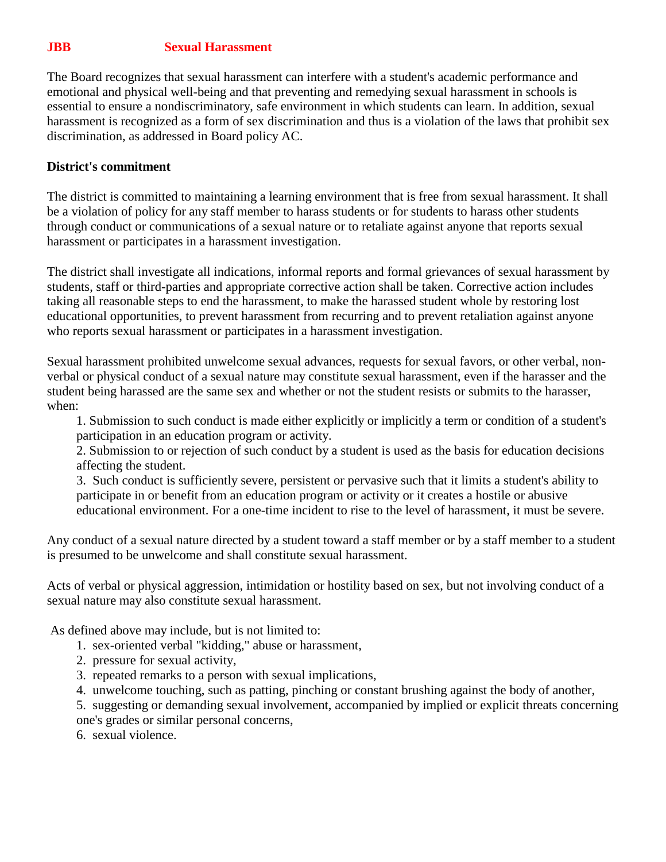## **JBB Sexual Harassment**

The Board recognizes that sexual harassment can interfere with a student's academic performance and emotional and physical well-being and that preventing and remedying sexual harassment in schools is essential to ensure a nondiscriminatory, safe environment in which students can learn. In addition, sexual harassment is recognized as a form of sex discrimination and thus is a violation of the laws that prohibit sex discrimination, as addressed in Board policy AC.

## **District's commitment**

The district is committed to maintaining a learning environment that is free from sexual harassment. It shall be a violation of policy for any staff member to harass students or for students to harass other students through conduct or communications of a sexual nature or to retaliate against anyone that reports sexual harassment or participates in a harassment investigation.

The district shall investigate all indications, informal reports and formal grievances of sexual harassment by students, staff or third-parties and appropriate corrective action shall be taken. Corrective action includes taking all reasonable steps to end the harassment, to make the harassed student whole by restoring lost educational opportunities, to prevent harassment from recurring and to prevent retaliation against anyone who reports sexual harassment or participates in a harassment investigation.

Sexual harassment prohibited unwelcome sexual advances, requests for sexual favors, or other verbal, nonverbal or physical conduct of a sexual nature may constitute sexual harassment, even if the harasser and the student being harassed are the same sex and whether or not the student resists or submits to the harasser, when:

1. Submission to such conduct is made either explicitly or implicitly a term or condition of a student's participation in an education program or activity.

2. Submission to or rejection of such conduct by a student is used as the basis for education decisions affecting the student.

3. Such conduct is sufficiently severe, persistent or pervasive such that it limits a student's ability to participate in or benefit from an education program or activity or it creates a hostile or abusive educational environment. For a one-time incident to rise to the level of harassment, it must be severe.

Any conduct of a sexual nature directed by a student toward a staff member or by a staff member to a student is presumed to be unwelcome and shall constitute sexual harassment.

Acts of verbal or physical aggression, intimidation or hostility based on sex, but not involving conduct of a sexual nature may also constitute sexual harassment.

As defined above may include, but is not limited to:

- 1. sex-oriented verbal "kidding," abuse or harassment,
- 2. pressure for sexual activity,
- 3. repeated remarks to a person with sexual implications,
- 4. unwelcome touching, such as patting, pinching or constant brushing against the body of another,

5. suggesting or demanding sexual involvement, accompanied by implied or explicit threats concerning one's grades or similar personal concerns,

6. sexual violence.